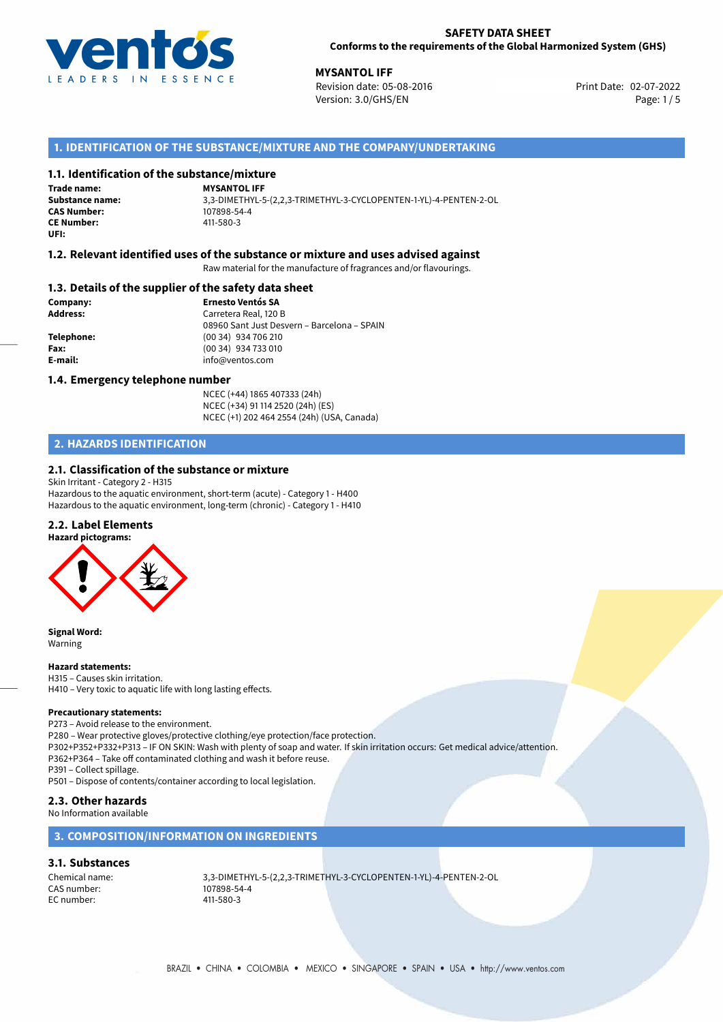

**MYSANTOL IFF**<br>
Revision date: 05-08-2016 **Print Date: 02-07-2022** Print Date: 02-07-2022 Version: 3.0/GHS/EN Page: 1/5

# **1. IDENTIFICATION OF THE SUBSTANCE/MIXTURE AND THE COMPANY/UNDERTAKING**

# **1.1. Identification of the substance/mixture**

**Trade name: CAS Number: CE Number:** 411-580-3 **UFI:**

**MYSANTOL IFF Substance name:** 3,3-DIMETHYL-5-(2,2,3-TRIMETHYL-3-CYCLOPENTEN-1-YL)-4-PENTEN-2-OL

## **1.2. Relevant identified uses of the substance or mixture and uses advised against**

Raw material for the manufacture of fragrances and/or flavourings.

# **1.3. Details of the supplier of the safety data sheet**

**Company: Ernesto Ventós SA Address:** Carretera Real, 120 B 08960 Sant Just Desvern – Barcelona – SPAIN **Telephone:** (00 34) 934 706 210 **Fax:** (00 34) 934 733 010 **E-mail:** info@ventos.com

## **1.4. Emergency telephone number**

NCEC (+44) 1865 407333 (24h) NCEC (+34) 91 114 2520 (24h) (ES) NCEC (+1) 202 464 2554 (24h) (USA, Canada)

# **2. HAZARDS IDENTIFICATION**

# **2.1. Classification of the substance or mixture**

Skin Irritant - Category 2 - H315 Hazardous to the aquatic environment, short-term (acute) - Category 1 - H400 Hazardous to the aquatic environment, long-term (chronic) - Category 1 - H410

# **2.2. Label Elements**



**Signal Word:** Warning

### **Hazard statements:**

H315 – Causes skin irritation. H410 – Very toxic to aquatic life with long lasting effects.

## **Precautionary statements:**

P273 – Avoid release to the environment.

P280 – Wear protective gloves/protective clothing/eye protection/face protection. P302+P352+P332+P313 – IF ON SKIN: Wash with plenty of soap and water. If skin irritation occurs: Get medical advice/attention.

P362+P364 – Take off contaminated clothing and wash it before reuse.

P391 – Collect spillage.

P501 – Dispose of contents/container according to local legislation.

# **2.3. Other hazards**

No Information available

# **3. COMPOSITION/INFORMATION ON INGREDIENTS**

# **3.1. Substances**

CAS number: 107898-54<br>EC number: 107898-54 EC number:

Chemical name: 3,3-DIMETHYL-5-(2,2,3-TRIMETHYL-3-CYCLOPENTEN-1-YL)-4-PENTEN-2-OL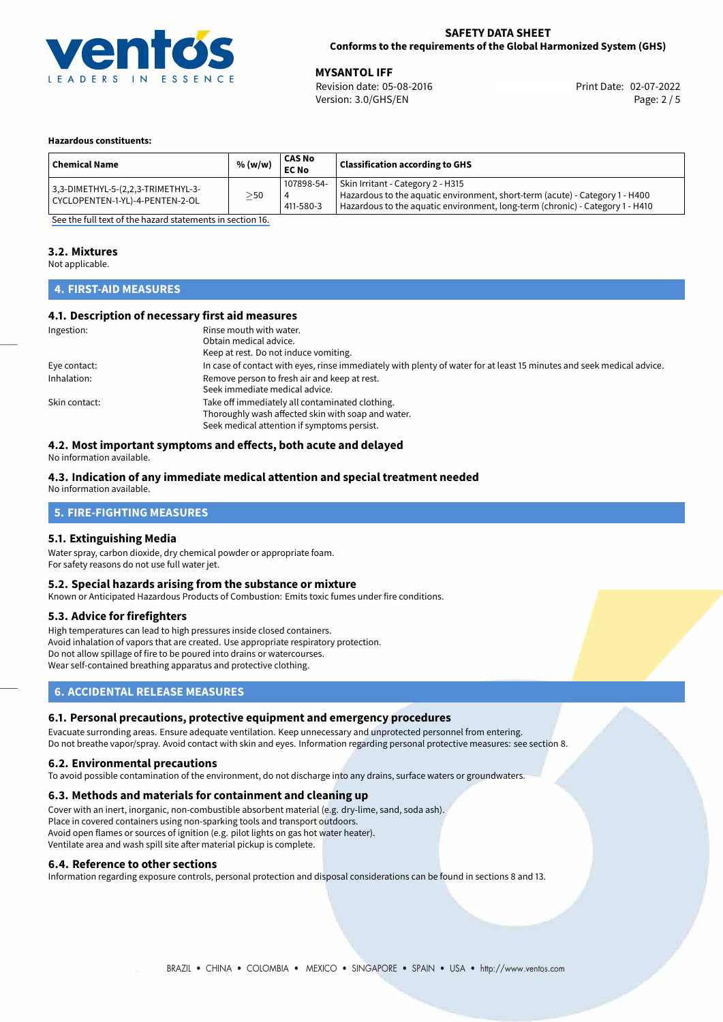

**MYSANTOL IFF**<br>
Revision date: 05-08-2016 **Print Date: 02-07-2022** Version: 3.0/GHS/EN Page: 2 / 5

### **Hazardous constituents:**

| <b>Chemical Name</b>                                                  | % (w/w)   | <b>CAS No</b><br><b>EC No</b> | <b>Classification according to GHS</b>                                                                                                                                                             |
|-----------------------------------------------------------------------|-----------|-------------------------------|----------------------------------------------------------------------------------------------------------------------------------------------------------------------------------------------------|
| 3,3-DIMETHYL-5-(2,2,3-TRIMETHYL-3-<br>CYCLOPENTEN-1-YL)-4-PENTEN-2-OL | $\geq$ 50 | 107898-54-<br>4<br>411-580-3  | Skin Irritant - Category 2 - H315<br>Hazardous to the aquatic environment, short-term (acute) - Category 1 - H400<br>Hazardous to the aquatic environment, long-term (chronic) - Category 1 - H410 |

[See the full text of the hazard statements in section 16.](#page-4-0)

## **3.2. Mixtures**

Not applicable.

## **4. FIRST-AID MEASURES**

# **4.1. Description of necessary first aid measures**

| Ingestion:    | Rinse mouth with water.                                                                                               |  |  |
|---------------|-----------------------------------------------------------------------------------------------------------------------|--|--|
|               | Obtain medical advice.                                                                                                |  |  |
|               | Keep at rest. Do not induce vomiting.                                                                                 |  |  |
| Eye contact:  | In case of contact with eyes, rinse immediately with plenty of water for at least 15 minutes and seek medical advice. |  |  |
| Inhalation:   | Remove person to fresh air and keep at rest.                                                                          |  |  |
|               | Seek immediate medical advice.                                                                                        |  |  |
| Skin contact: | Take off immediately all contaminated clothing.                                                                       |  |  |
|               | Thoroughly wash affected skin with soap and water.                                                                    |  |  |
|               | Seek medical attention if symptoms persist.                                                                           |  |  |

# **4.2. Most important symptoms and effects, both acute and delayed**

No information available.

# **4.3. Indication of any immediate medical attention and special treatment needed**

No information available.

# **5. FIRE-FIGHTING MEASURES**

## **5.1. Extinguishing Media**

Water spray, carbon dioxide, dry chemical powder or appropriate foam. For safety reasons do not use full water jet.

## **5.2. Special hazards arising from the substance or mixture**

Known or Anticipated Hazardous Products of Combustion: Emits toxic fumes under fire conditions.

## **5.3. Advice for firefighters**

High temperatures can lead to high pressures inside closed containers. Avoid inhalation of vapors that are created. Use appropriate respiratory protection. Do not allow spillage of fire to be poured into drains or watercourses. Wear self-contained breathing apparatus and protective clothing.

# **6. ACCIDENTAL RELEASE MEASURES**

### **6.1. Personal precautions, protective equipment and emergency procedures**

Evacuate surronding areas. Ensure adequate ventilation. Keep unnecessary and unprotected personnel from entering. Do not breathe vapor/spray. Avoid contact with skin and eyes. Information regarding personal protective measures: see section 8.

### **6.2. Environmental precautions**

To avoid possible contamination of the environment, do not discharge into any drains, surface waters or groundwaters.

### **6.3. Methods and materials for containment and cleaning up**

Cover with an inert, inorganic, non-combustible absorbent material (e.g. dry-lime, sand, soda ash). Place in covered containers using non-sparking tools and transport outdoors. Avoid open flames or sources of ignition (e.g. pilot lights on gas hot water heater). Ventilate area and wash spill site after material pickup is complete.

## **6.4. Reference to other sections**

Information regarding exposure controls, personal protection and disposal considerations can be found in sections 8 and 13.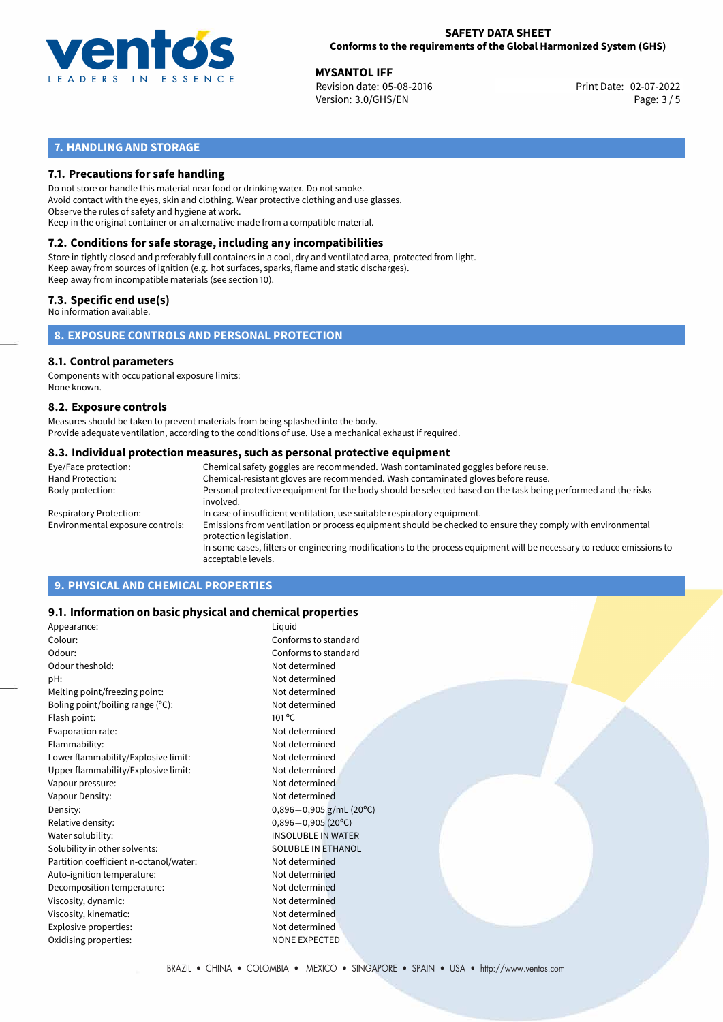

**MYSANTOL IFF**<br>
Revision date: 05-08-2016 **Print Date: 02-07-2022** Version: 3.0/GHS/EN Page: 3 / 5

# **7. HANDLING AND STORAGE**

# **7.1. Precautions for safe handling**

Do not store or handle this material near food or drinking water. Do not smoke. Avoid contact with the eyes, skin and clothing. Wear protective clothing and use glasses. Observe the rules of safety and hygiene at work. Keep in the original container or an alternative made from a compatible material.

# **7.2. Conditions for safe storage, including any incompatibilities**

Store in tightly closed and preferably full containers in a cool, dry and ventilated area, protected from light. Keep away from sources of ignition (e.g. hot surfaces, sparks, flame and static discharges). Keep away from incompatible materials (see section 10).

## **7.3. Specific end use(s)**

No information available.

**8. EXPOSURE CONTROLS AND PERSONAL PROTECTION**

# **8.1. Control parameters**

Components with occupational exposure limits: None known.

### **8.2. Exposure controls**

Measures should be taken to prevent materials from being splashed into the body. Provide adequate ventilation, according to the conditions of use. Use a mechanical exhaust if required.

## **8.3. Individual protection measures, such as personal protective equipment**

| Eye/Face protection:             | Chemical safety goggles are recommended. Wash contaminated goggles before reuse.                                                            |  |  |  |  |
|----------------------------------|---------------------------------------------------------------------------------------------------------------------------------------------|--|--|--|--|
| Hand Protection:                 | Chemical-resistant gloves are recommended. Wash contaminated gloves before reuse.                                                           |  |  |  |  |
| Body protection:                 | Personal protective equipment for the body should be selected based on the task being performed and the risks<br>involved.                  |  |  |  |  |
| Respiratory Protection:          | In case of insufficient ventilation, use suitable respiratory equipment.                                                                    |  |  |  |  |
| Environmental exposure controls: | Emissions from ventilation or process equipment should be checked to ensure they comply with environmental<br>protection legislation.       |  |  |  |  |
|                                  | In some cases, filters or engineering modifications to the process equipment will be necessary to reduce emissions to<br>acceptable levels. |  |  |  |  |
|                                  |                                                                                                                                             |  |  |  |  |

# **9. PHYSICAL AND CHEMICAL PROPERTIES**

# **9.1. Information on basic physical and chemical properties**

| Appearance:                            | Liquid                       |
|----------------------------------------|------------------------------|
| Colour:                                | Conforms to standard         |
| Odour:                                 | Conforms to standard         |
| Odour theshold:                        | Not determined               |
| pH:                                    | Not determined               |
| Melting point/freezing point:          | Not determined               |
| Boling point/boiling range (°C):       | Not determined               |
| Flash point:                           | $101^{\circ}$ C              |
| Evaporation rate:                      | Not determined               |
| Flammability:                          | Not determined               |
| Lower flammability/Explosive limit:    | Not determined               |
| Upper flammability/Explosive limit:    | Not determined               |
| Vapour pressure:                       | Not determined               |
| Vapour Density:                        | Not determined               |
| Density:                               | $0,896 - 0,905$ g/mL (20°C)  |
| Relative density:                      | $0,896 - 0,905(20^{\circ}C)$ |
| Water solubility:                      | <b>INSOLUBLE IN WATER</b>    |
| Solubility in other solvents:          | <b>SOLUBLE IN ETHANOL</b>    |
| Partition coefficient n-octanol/water: | Not determined               |
| Auto-ignition temperature:             | Not determined               |
| Decomposition temperature:             | Not determined               |
| Viscosity, dynamic:                    | Not determined               |
| Viscosity, kinematic:                  | Not determined               |
| Explosive properties:                  | Not determined               |
| Oxidising properties:                  | <b>NONE EXPECTED</b>         |
|                                        |                              |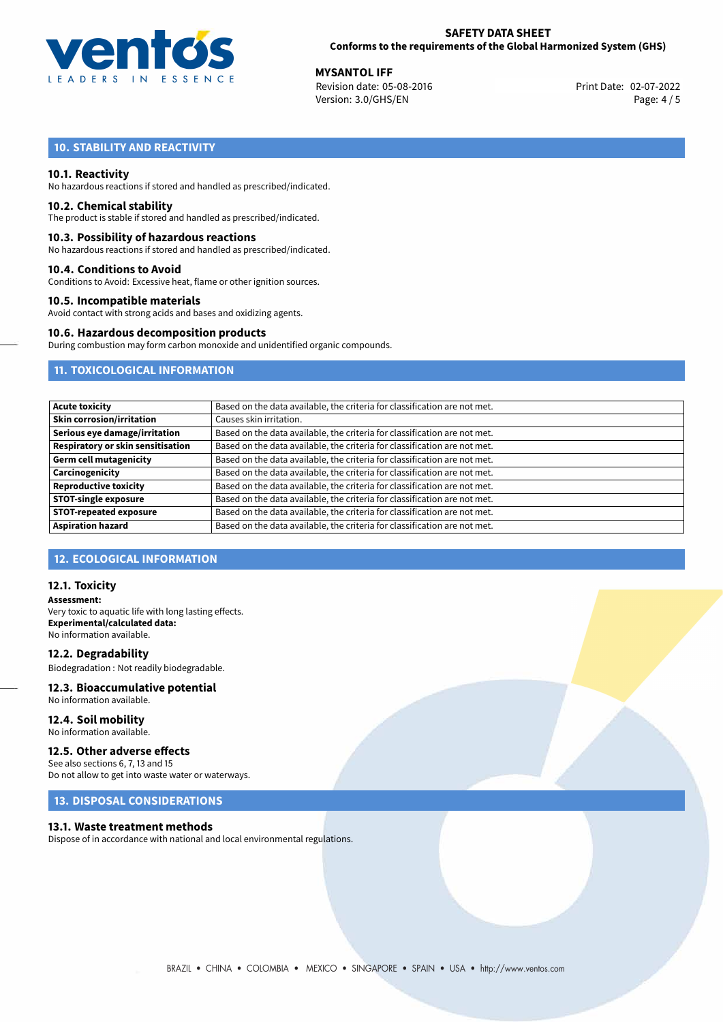

**MYSANTOL IFF**<br>
Revision date: 05-08-2016 **Print Date: 02-07-2022** Version: 3.0/GHS/EN Page: 4 / 5

# **10. STABILITY AND REACTIVITY**

## **10.1. Reactivity**

No hazardous reactions if stored and handled as prescribed/indicated.

## **10.2. Chemical stability**

The product is stable if stored and handled as prescribed/indicated.

## **10.3. Possibility of hazardous reactions**

No hazardous reactions if stored and handled as prescribed/indicated.

## **10.4. Conditions to Avoid**

Conditions to Avoid: Excessive heat, flame or other ignition sources.

## **10.5. Incompatible materials**

Avoid contact with strong acids and bases and oxidizing agents.

## **10.6. Hazardous decomposition products**

During combustion may form carbon monoxide and unidentified organic compounds.

# **11. TOXICOLOGICAL INFORMATION**

| <b>Acute toxicity</b>                    | Based on the data available, the criteria for classification are not met. |
|------------------------------------------|---------------------------------------------------------------------------|
| <b>Skin corrosion/irritation</b>         | Causes skin irritation.                                                   |
| Serious eye damage/irritation            | Based on the data available, the criteria for classification are not met. |
| <b>Respiratory or skin sensitisation</b> | Based on the data available, the criteria for classification are not met. |
| <b>Germ cell mutagenicity</b>            | Based on the data available, the criteria for classification are not met. |
| Carcinogenicity                          | Based on the data available, the criteria for classification are not met. |
| <b>Reproductive toxicity</b>             | Based on the data available, the criteria for classification are not met. |
| <b>STOT-single exposure</b>              | Based on the data available, the criteria for classification are not met. |
| <b>STOT-repeated exposure</b>            | Based on the data available, the criteria for classification are not met. |
| <b>Aspiration hazard</b>                 | Based on the data available, the criteria for classification are not met. |

# **12. ECOLOGICAL INFORMATION**

## **12.1. Toxicity**

**Assessment:** Very toxic to aquatic life with long lasting effects. **Experimental/calculated data:** No information available.

**12.2. Degradability** Biodegradation : Not readily biodegradable.

# **12.3. Bioaccumulative potential**

No information available.

**12.4. Soil mobility** No information available.

# **12.5. Other adverse effects**

See also sections 6, 7, 13 and 15 Do not allow to get into waste water or waterways.

# **13. DISPOSAL CONSIDERATIONS**

### **13.1. Waste treatment methods**

Dispose of in accordance with national and local environmental regulations.